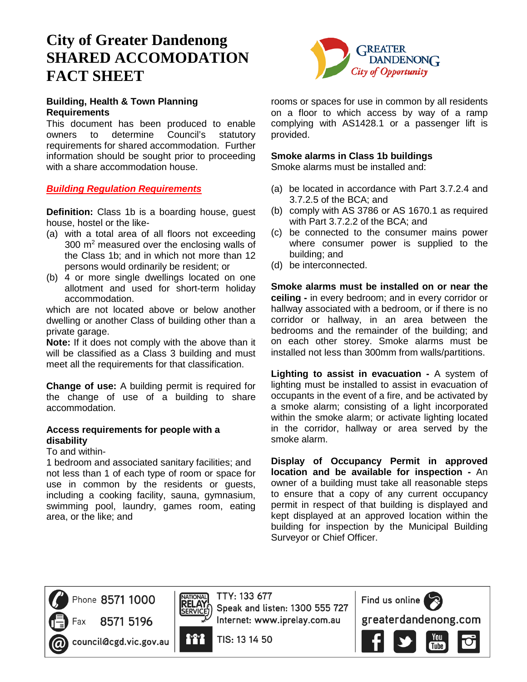# **City of Greater Dandenong SHARED ACCOMODATION FACT SHEET**

## **Building, Health & Town Planning Requirements**

This document has been produced to enable owners to determine Council's statutory requirements for shared accommodation. Further information should be sought prior to proceeding with a share accommodation house.

# *Building Regulation Requirements*

**Definition:** Class 1b is a boarding house, guest house, hostel or the like-

- (a) with a total area of all floors not exceeding 300 m<sup>2</sup> measured over the enclosing walls of the Class 1b; and in which not more than 12 persons would ordinarily be resident; or
- (b) 4 or more single dwellings located on one allotment and used for short-term holiday accommodation.

which are not located above or below another dwelling or another Class of building other than a private garage.

**Note:** If it does not comply with the above than it will be classified as a Class 3 building and must meet all the requirements for that classification.

**Change of use:** A building permit is required for the change of use of a building to share accommodation.

# **Access requirements for people with a disability**

#### To and within-

1 bedroom and associated sanitary facilities; and not less than 1 of each type of room or space for use in common by the residents or guests, including a cooking facility, sauna, gymnasium, swimming pool, laundry, games room, eating area, or the like; and



rooms or spaces for use in common by all residents on a floor to which access by way of a ramp complying with AS1428.1 or a passenger lift is provided.

## **Smoke alarms in Class 1b buildings**

Smoke alarms must be installed and:

- (a) be located in accordance with Part 3.7.2.4 and 3.7.2.5 of the BCA; and
- (b) comply with AS 3786 or AS 1670.1 as required with Part 3.7.2.2 of the BCA; and
- (c) be connected to the consumer mains power where consumer power is supplied to the building; and
- (d) be interconnected.

**Smoke alarms must be installed on or near the ceiling -** in every bedroom; and in every corridor or hallway associated with a bedroom, or if there is no corridor or hallway, in an area between the bedrooms and the remainder of the building; and on each other storey. Smoke alarms must be installed not less than 300mm from walls/partitions.

**Lighting to assist in evacuation -** A system of lighting must be installed to assist in evacuation of occupants in the event of a fire, and be activated by a smoke alarm; consisting of a light incorporated within the smoke alarm; or activate lighting located in the corridor, hallway or area served by the smoke alarm.

**Display of Occupancy Permit in approved location and be available for inspection -** An owner of a building must take all reasonable steps to ensure that a copy of any current occupancy permit in respect of that building is displayed and kept displayed at an approved location within the building for inspection by the Municipal Building Surveyor or Chief Officer.



Phone 8571 1000

8571 5196





it i

TTY: 133 677 Speak and listen: 1300 555 727 Internet: www.iprelay.com.au

TIS: 13 14 50



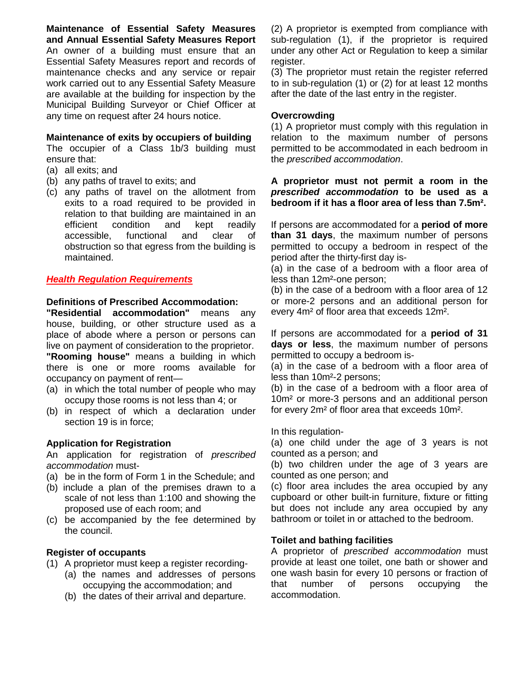**Maintenance of Essential Safety Measures and Annual Essential Safety Measures Report**  An owner of a building must ensure that an Essential Safety Measures report and records of maintenance checks and any service or repair work carried out to any Essential Safety Measure are available at the building for inspection by the Municipal Building Surveyor or Chief Officer at any time on request after 24 hours notice.

#### **Maintenance of exits by occupiers of building**

The occupier of a Class 1b/3 building must ensure that:

- (a) all exits; and
- (b) any paths of travel to exits; and
- (c) any paths of travel on the allotment from exits to a road required to be provided in relation to that building are maintained in an efficient condition and kept readily accessible, functional and clear of obstruction so that egress from the building is maintained.

## *Health Regulation Requirements*

#### **Definitions of Prescribed Accommodation:**

**"Residential accommodation"** means any house, building, or other structure used as a place of abode where a person or persons can live on payment of consideration to the proprietor. **"Rooming house"** means a building in which there is one or more rooms available for occupancy on payment of rent—

- (a) in which the total number of people who may occupy those rooms is not less than 4; or
- (b) in respect of which a declaration under section 19 is in force;

#### **Application for Registration**

An application for registration of *prescribed accommodation* must-

- (a) be in the form of Form 1 in the Schedule; and
- (b) include a plan of the premises drawn to a scale of not less than 1:100 and showing the proposed use of each room; and
- (c) be accompanied by the fee determined by the council.

#### **Register of occupants**

- (1) A proprietor must keep a register recording-
	- (a) the names and addresses of persons occupying the accommodation; and
	- (b) the dates of their arrival and departure.

(2) A proprietor is exempted from compliance with sub-regulation (1), if the proprietor is required under any other Act or Regulation to keep a similar register.

(3) The proprietor must retain the register referred to in sub-regulation (1) or (2) for at least 12 months after the date of the last entry in the register.

#### **Overcrowding**

(1) A proprietor must comply with this regulation in relation to the maximum number of persons permitted to be accommodated in each bedroom in the *prescribed accommodation*.

**A proprietor must not permit a room in the** *prescribed accommodation* **to be used as a bedroom if it has a floor area of less than 7.5m².**

If persons are accommodated for a **period of more than 31 days**, the maximum number of persons permitted to occupy a bedroom in respect of the period after the thirty-first day is-

(a) in the case of a bedroom with a floor area of less than 12m²-one person;

(b) in the case of a bedroom with a floor area of 12 or more-2 persons and an additional person for every 4m² of floor area that exceeds 12m².

If persons are accommodated for a **period of 31 days or less**, the maximum number of persons permitted to occupy a bedroom is-

(a) in the case of a bedroom with a floor area of less than 10m²-2 persons;

(b) in the case of a bedroom with a floor area of 10m² or more-3 persons and an additional person for every 2m² of floor area that exceeds 10m².

In this regulation-

(a) one child under the age of 3 years is not counted as a person; and

(b) two children under the age of 3 years are counted as one person; and

(c) floor area includes the area occupied by any cupboard or other built-in furniture, fixture or fitting but does not include any area occupied by any bathroom or toilet in or attached to the bedroom.

#### **Toilet and bathing facilities**

A proprietor of *prescribed accommodation* must provide at least one toilet, one bath or shower and one wash basin for every 10 persons or fraction of that number of persons occupying the accommodation.